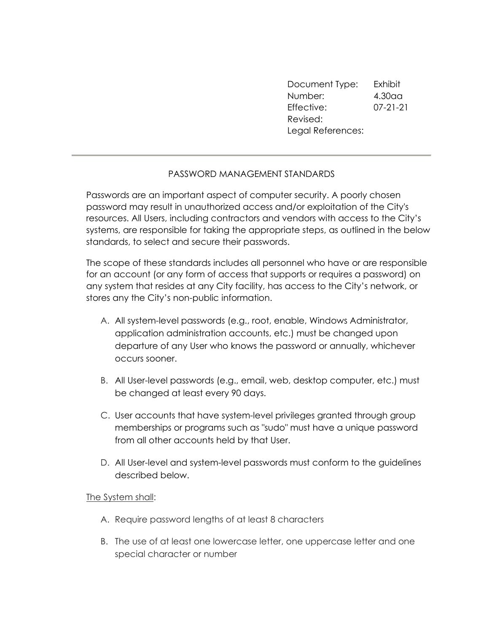Document Type: Exhibit Number: 4.30aa Effective: 07-21-21 Revised: Legal References:

## PASSWORD MANAGEMENT STANDARDS

Passwords are an important aspect of computer security. A poorly chosen password may result in unauthorized access and/or exploitation of the City's resources. All Users, including contractors and vendors with access to the City's systems, are responsible for taking the appropriate steps, as outlined in the below standards, to select and secure their passwords.

The scope of these standards includes all personnel who have or are responsible for an account (or any form of access that supports or requires a password) on any system that resides at any City facility, has access to the City's network, or stores any the City's non-public information.

- A. All system-level passwords (e.g., root, enable, Windows Administrator, application administration accounts, etc.) must be changed upon departure of any User who knows the password or annually, whichever occurs sooner.
- B. All User-level passwords (e.g., email, web, desktop computer, etc.) must be changed at least every 90 days.
- C. User accounts that have system-level privileges granted through group memberships or programs such as "sudo" must have a unique password from all other accounts held by that User.
- D. All User-level and system-level passwords must conform to the guidelines described below.

## The System shall:

- A. Require password lengths of at least 8 characters
- B. The use of at least one lowercase letter, one uppercase letter and one special character or number